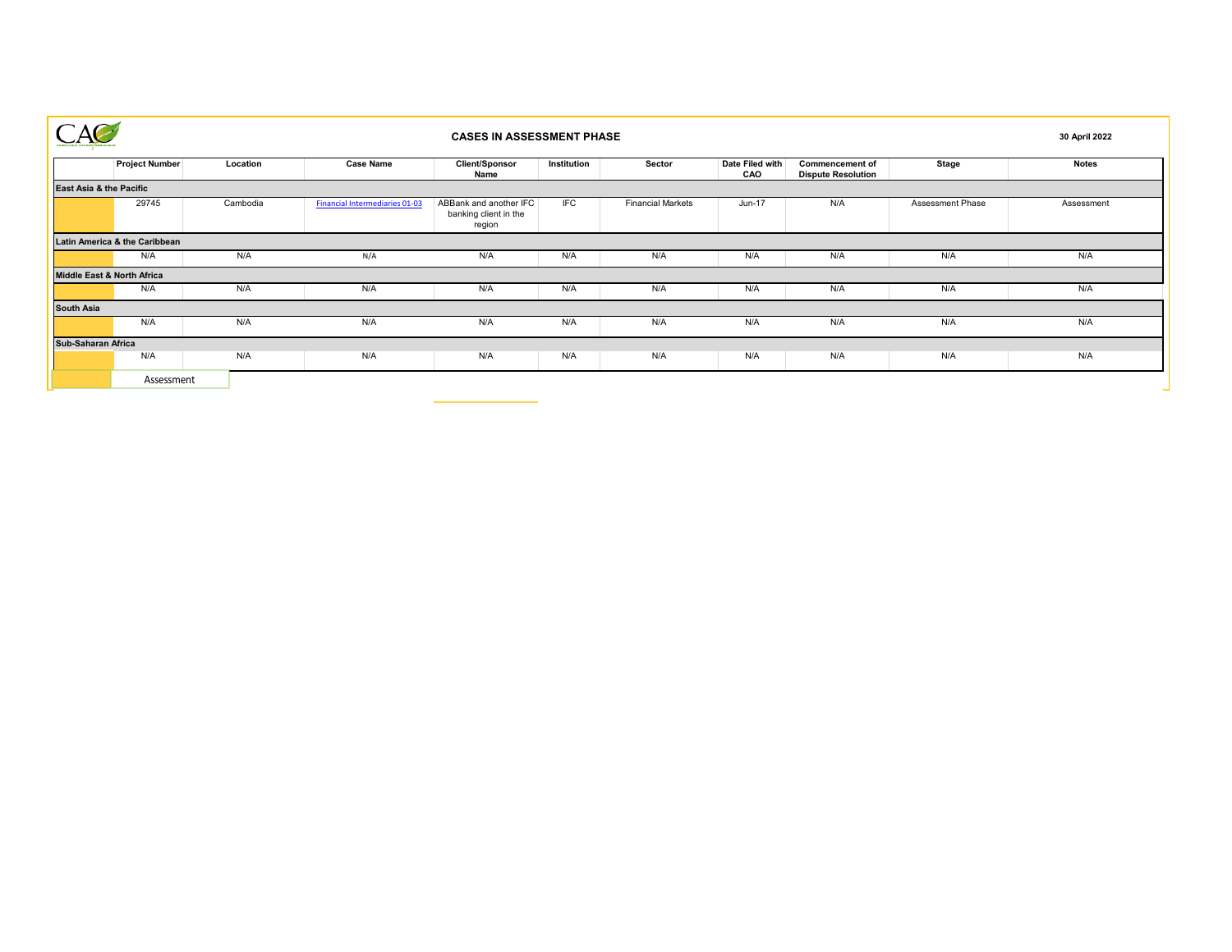|                            |                               |          | <b>CASES IN ASSESSMENT PHASE</b>      |                                                           |             |                          |                        |                                                     |                  |              |  |
|----------------------------|-------------------------------|----------|---------------------------------------|-----------------------------------------------------------|-------------|--------------------------|------------------------|-----------------------------------------------------|------------------|--------------|--|
|                            | <b>Project Number</b>         | Location | <b>Case Name</b>                      | <b>Client/Sponsor</b><br>Name                             | Institution | Sector                   | Date Filed with<br>CAO | <b>Commencement of</b><br><b>Dispute Resolution</b> | Stage            | <b>Notes</b> |  |
| East Asia & the Pacific    |                               |          |                                       |                                                           |             |                          |                        |                                                     |                  |              |  |
|                            | 29745                         | Cambodia | <b>Financial Intermediaries 01-03</b> | ABBank and another IFC<br>banking client in the<br>region | <b>IFC</b>  | <b>Financial Markets</b> | Jun-17                 | N/A                                                 | Assessment Phase | Assessment   |  |
|                            | Latin America & the Caribbean |          |                                       |                                                           |             |                          |                        |                                                     |                  |              |  |
|                            | N/A                           | N/A      | N/A                                   | N/A                                                       | N/A         | N/A                      | N/A                    | N/A                                                 | N/A              | N/A          |  |
| Middle East & North Africa |                               |          |                                       |                                                           |             |                          |                        |                                                     |                  |              |  |
|                            | N/A                           | N/A      | N/A                                   | N/A                                                       | N/A         | N/A                      | N/A                    | N/A                                                 | N/A              | N/A          |  |
| <b>South Asia</b>          |                               |          |                                       |                                                           |             |                          |                        |                                                     |                  |              |  |
|                            | N/A                           | N/A      | N/A                                   | N/A                                                       | N/A         | N/A                      | N/A                    | N/A                                                 | N/A              | N/A          |  |
| Sub-Saharan Africa         |                               |          |                                       |                                                           |             |                          |                        |                                                     |                  |              |  |
|                            | N/A                           | N/A      | N/A                                   | N/A                                                       | N/A         | N/A                      | N/A                    | N/A                                                 | N/A              | N/A          |  |
|                            | Assessment                    |          |                                       |                                                           |             |                          |                        |                                                     |                  |              |  |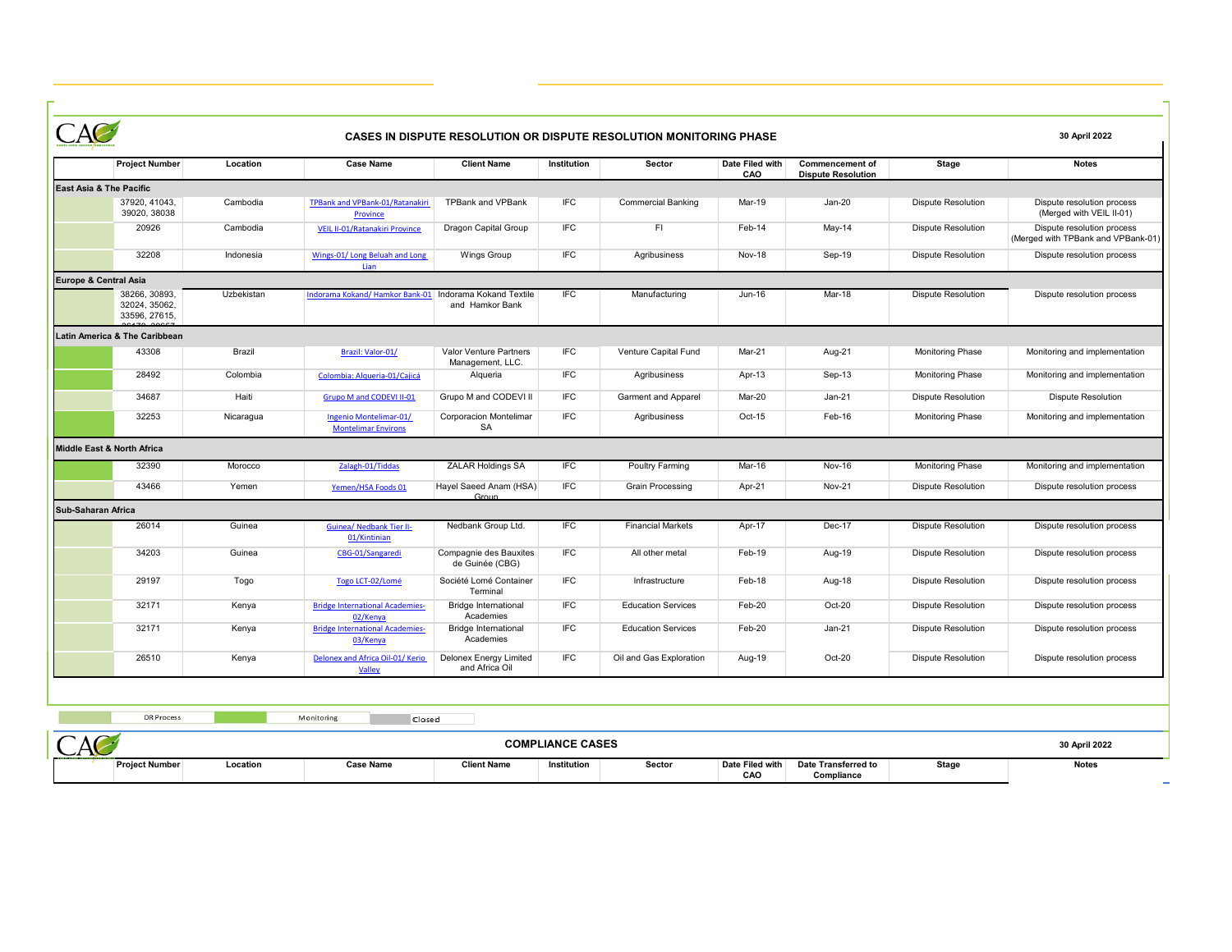| East Asia & The Pacific<br>37920, 41043,<br>Cambodia<br>39020, 38038 |                                                                                                     | <b>Client Name</b>                                                                                                                                                                 | Institution                                                                                                                                                                      | Sector                                        | Date Filed with<br>CAO                              | <b>Commencement of</b><br><b>Dispute Resolution</b> | <b>Stage</b>                                | <b>Notes</b>                                                                      |
|----------------------------------------------------------------------|-----------------------------------------------------------------------------------------------------|------------------------------------------------------------------------------------------------------------------------------------------------------------------------------------|----------------------------------------------------------------------------------------------------------------------------------------------------------------------------------|-----------------------------------------------|-----------------------------------------------------|-----------------------------------------------------|---------------------------------------------|-----------------------------------------------------------------------------------|
|                                                                      |                                                                                                     |                                                                                                                                                                                    |                                                                                                                                                                                  |                                               |                                                     |                                                     |                                             |                                                                                   |
|                                                                      | TPBank and VPBank-01/Ratanakiri                                                                     | TPBank and VPBank                                                                                                                                                                  | <b>IFC</b>                                                                                                                                                                       | <b>Commercial Banking</b>                     | Mar-19                                              | $Jan-20$                                            | <b>Dispute Resolution</b>                   | Dispute resolution process                                                        |
|                                                                      | Province                                                                                            |                                                                                                                                                                                    |                                                                                                                                                                                  |                                               |                                                     |                                                     |                                             | (Merged with VEIL II-01)                                                          |
| 20926<br>Cambodia                                                    | VEIL II-01/Ratanakiri Province                                                                      | Dragon Capital Group                                                                                                                                                               | <b>IFC</b>                                                                                                                                                                       | F1                                            | Feb-14                                              | May-14                                              | <b>Dispute Resolution</b>                   | Dispute resolution process<br>(Merged with TPBank and VPBank-01)                  |
| 32208<br>Indonesia                                                   | Wings-01/ Long Beluah and Long                                                                      | <b>Wings Group</b>                                                                                                                                                                 | <b>IFC</b>                                                                                                                                                                       | Agribusiness                                  | <b>Nov-18</b>                                       | Sep-19                                              | <b>Dispute Resolution</b>                   | Dispute resolution process                                                        |
|                                                                      |                                                                                                     |                                                                                                                                                                                    |                                                                                                                                                                                  |                                               |                                                     |                                                     |                                             |                                                                                   |
|                                                                      |                                                                                                     |                                                                                                                                                                                    |                                                                                                                                                                                  |                                               |                                                     |                                                     |                                             | Dispute resolution process                                                        |
| 32024, 35062,<br>33596, 27615,                                       |                                                                                                     | and Hamkor Bank                                                                                                                                                                    |                                                                                                                                                                                  |                                               |                                                     |                                                     |                                             |                                                                                   |
| Latin America & The Caribbean                                        |                                                                                                     |                                                                                                                                                                                    |                                                                                                                                                                                  |                                               |                                                     |                                                     |                                             |                                                                                   |
| 43308                                                                | Brazil: Valor-01/                                                                                   | Valor Venture Partners<br>Management, LLC.                                                                                                                                         | <b>IFC</b>                                                                                                                                                                       | Venture Capital Fund                          | Mar-21                                              | Aug-21                                              | <b>Monitoring Phase</b>                     | Monitoring and implementation                                                     |
| 28492                                                                | Colombia: Algueria-01/Cajicá                                                                        | Alqueria                                                                                                                                                                           | <b>IFC</b>                                                                                                                                                                       | Agribusiness                                  | Apr-13                                              | Sep-13                                              | <b>Monitoring Phase</b>                     | Monitoring and implementation                                                     |
| 34687<br>Haiti                                                       | Grupo M and CODEVI II-01                                                                            | Grupo M and CODEVI II                                                                                                                                                              | <b>IFC</b>                                                                                                                                                                       | Garment and Apparel                           | Mar-20                                              | $Jan-21$                                            | <b>Dispute Resolution</b>                   | <b>Dispute Resolution</b>                                                         |
| 32253                                                                | Ingenio Montelimar-01/                                                                              | Corporacion Montelimar<br>SA                                                                                                                                                       | <b>IFC</b>                                                                                                                                                                       | Agribusiness                                  | Oct-15                                              | Feb-16                                              | <b>Monitoring Phase</b>                     | Monitoring and implementation                                                     |
|                                                                      |                                                                                                     |                                                                                                                                                                                    |                                                                                                                                                                                  |                                               |                                                     |                                                     |                                             |                                                                                   |
|                                                                      |                                                                                                     |                                                                                                                                                                                    |                                                                                                                                                                                  |                                               |                                                     |                                                     |                                             |                                                                                   |
|                                                                      |                                                                                                     |                                                                                                                                                                                    |                                                                                                                                                                                  |                                               |                                                     |                                                     |                                             | Monitoring and implementation                                                     |
|                                                                      | Yemen/HSA Foods 01                                                                                  | Group                                                                                                                                                                              |                                                                                                                                                                                  | <b>Grain Processing</b>                       |                                                     |                                                     | <b>Dispute Resolution</b>                   | Dispute resolution process                                                        |
|                                                                      |                                                                                                     |                                                                                                                                                                                    |                                                                                                                                                                                  |                                               |                                                     |                                                     |                                             |                                                                                   |
| 26014                                                                | <b>Guinea/ Nedbank Tier II-</b>                                                                     | Nedbank Group Ltd.                                                                                                                                                                 | <b>IFC</b>                                                                                                                                                                       | <b>Financial Markets</b>                      | Apr-17                                              | Dec-17                                              | <b>Dispute Resolution</b>                   | Dispute resolution process                                                        |
|                                                                      |                                                                                                     |                                                                                                                                                                                    |                                                                                                                                                                                  |                                               |                                                     |                                                     |                                             |                                                                                   |
|                                                                      |                                                                                                     | de Guinée (CBG)                                                                                                                                                                    |                                                                                                                                                                                  |                                               |                                                     |                                                     |                                             | Dispute resolution process                                                        |
| 29197                                                                | Togo LCT-02/Lomé                                                                                    | Société Lomé Container<br>Terminal                                                                                                                                                 | <b>IFC</b>                                                                                                                                                                       | Infrastructure                                | Feb-18                                              | Aug-18                                              | <b>Dispute Resolution</b>                   | Dispute resolution process                                                        |
| 32171                                                                | 02/Kenya                                                                                            | <b>Bridge International</b><br>Academies                                                                                                                                           | <b>IFC</b>                                                                                                                                                                       | <b>Education Services</b>                     | Feb-20                                              | Oct-20                                              | <b>Dispute Resolution</b>                   | Dispute resolution process                                                        |
|                                                                      | <b>Bridge International Academies-</b><br>03/Kenya                                                  | <b>Bridge International</b><br>Academies                                                                                                                                           | <b>IFC</b>                                                                                                                                                                       | <b>Education Services</b>                     | Feb-20                                              | $Jan-21$                                            | <b>Dispute Resolution</b>                   | Dispute resolution process                                                        |
| 32171<br>Kenya                                                       |                                                                                                     |                                                                                                                                                                                    |                                                                                                                                                                                  |                                               |                                                     |                                                     |                                             |                                                                                   |
|                                                                      | 38266, 30893,<br>Brazil<br><b>Middle East &amp; North Africa</b><br>32390<br>43466<br>34203<br>Togo | Lian<br>Uzbekistan<br>Colombia<br>Nicaragua<br><b>Montelimar Environs</b><br>Morocco<br>Zalagh-01/Tiddas<br>Yemen<br>Guinea<br>01/Kintinian<br>Guinea<br>CBG-01/Sangaredi<br>Kenya | Indorama Kokand/Hamkor Bank-01 Indorama Kokand Textile<br><b>ZALAR Holdings SA</b><br>Hayel Saeed Anam (HSA)<br>Compagnie des Bauxites<br><b>Bridge International Academies-</b> | IFC<br><b>IFC</b><br><b>IFC</b><br><b>IFC</b> | Manufacturing<br>Poultry Farming<br>All other metal | Jun-16<br>Mar-16<br>Apr-21<br>Feb-19                | Mar-18<br>Nov-16<br><b>Nov-21</b><br>Aug-19 | <b>Dispute Resolution</b><br><b>Monitoring Phase</b><br><b>Dispute Resolution</b> |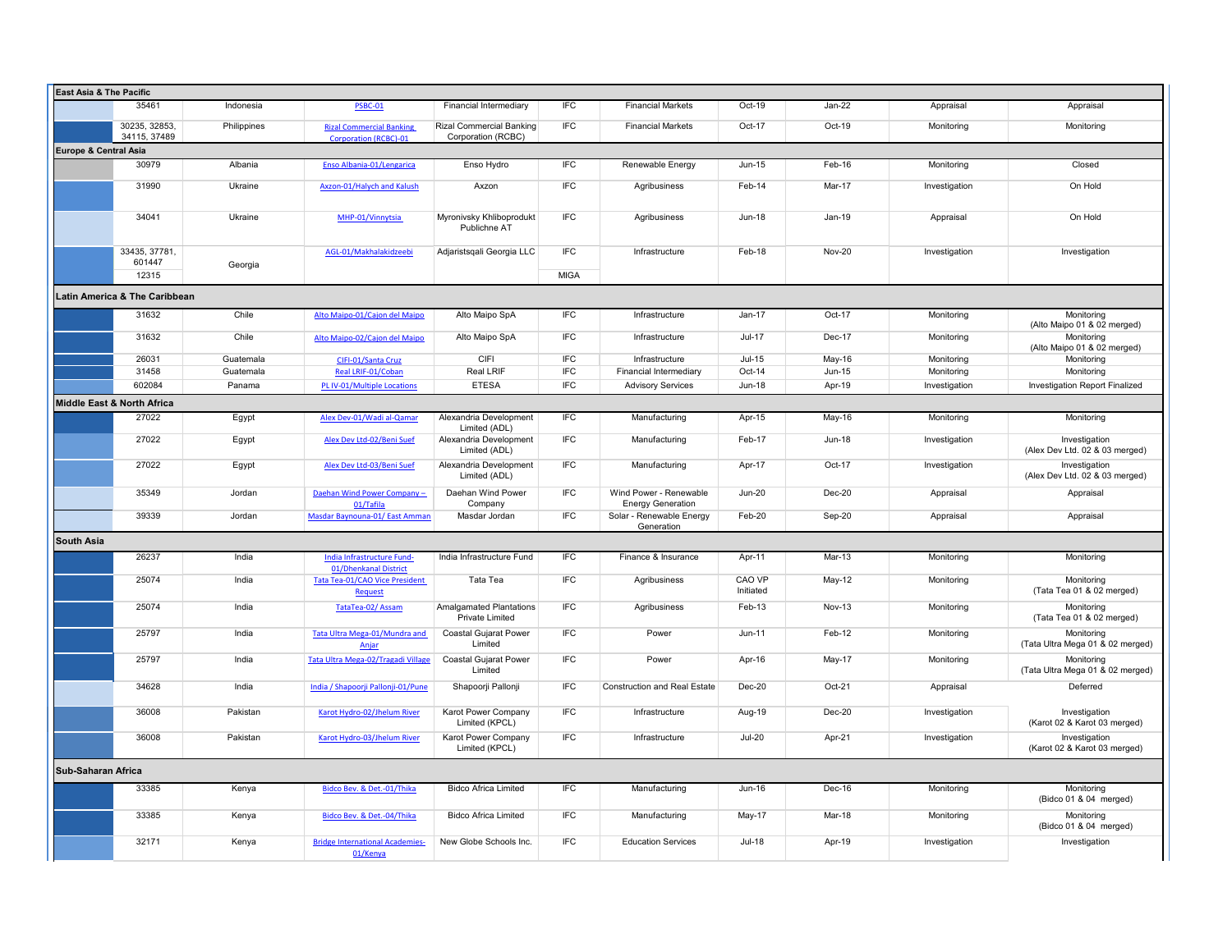| <b>East Asia &amp; The Pacific</b> |                                                       |             |                                                     |                                                       |            |                                                    |                     |               |               |                                                 |  |
|------------------------------------|-------------------------------------------------------|-------------|-----------------------------------------------------|-------------------------------------------------------|------------|----------------------------------------------------|---------------------|---------------|---------------|-------------------------------------------------|--|
|                                    | 35461                                                 | Indonesia   | <b>PSBC-01</b>                                      | Financial Intermediary                                | <b>IEC</b> | <b>Financial Markets</b>                           | Oct-19              | Jan-22        | Appraisal     | Appraisal                                       |  |
|                                    | 30235, 32853.<br>34115, 37489                         | Philippines | <b>Rizal Commercial Banking</b>                     | <b>Rizal Commercial Banking</b><br>Corporation (RCBC) | <b>IFC</b> | <b>Financial Markets</b>                           | Oct-17              | Oct-19        | Monitoring    | Monitoring                                      |  |
|                                    | <b>Corporation (RCBC)-01</b><br>Europe & Central Asia |             |                                                     |                                                       |            |                                                    |                     |               |               |                                                 |  |
|                                    | 30979                                                 | Albania     | Enso Albania-01/Lengarica                           | Enso Hydro                                            | IFC        | Renewable Energy                                   | Jun-15              | Feb-16        | Monitoring    | Closed                                          |  |
|                                    | 31990                                                 | Ukraine     | Axzon-01/Halych and Kalush                          | Axzon                                                 | <b>IFC</b> | Agribusiness                                       | Feb-14              | Mar-17        | Investigation | On Hold                                         |  |
|                                    | 34041                                                 | Ukraine     | MHP-01/Vinnytsia                                    | Myronivsky Khliboprodukt<br>Publichne AT              | <b>IFC</b> | Agribusiness                                       | Jun-18              | Jan-19        | Appraisal     | On Hold                                         |  |
|                                    | 33435, 37781,<br>601447                               | Georgia     | AGL-01/Makhalakidzeebi                              | Adjaristsqali Georgia LLC                             | <b>IFC</b> | Infrastructure                                     | Feb-18              | Nov-20        | Investigation | Investigation                                   |  |
|                                    | <b>MIGA</b><br>12315                                  |             |                                                     |                                                       |            |                                                    |                     |               |               |                                                 |  |
|                                    | Latin America & The Caribbean                         |             |                                                     |                                                       |            |                                                    |                     |               |               |                                                 |  |
|                                    | 31632                                                 | Chile       | Alto Maipo-01/Cajon del Maipo                       | Alto Maipo SpA                                        | IFC        | Infrastructure                                     | Jan-17              | Oct-17        | Monitoring    | Monitoring<br>(Alto Maipo 01 & 02 merged)       |  |
|                                    | 31632                                                 | Chile       | Alto Maipo-02/Cajon del Maipo                       | Alto Maipo SpA                                        | <b>IFC</b> | Infrastructure                                     | $Jul-17$            | Dec-17        | Monitoring    | Monitoring<br>(Alto Maipo 01 & 02 merged)       |  |
|                                    | 26031                                                 | Guatemala   | CIFI-01/Santa Cruz                                  | CIFI                                                  | <b>IFC</b> | Infrastructure                                     | $Jul-15$            | May-16        | Monitoring    | Monitoring                                      |  |
|                                    | 31458                                                 | Guatemala   | Real LRIF-01/Coban                                  | Real LRIF                                             | <b>IFC</b> | Financial Intermediary                             | Oct-14              | Jun-15        | Monitoring    | Monitoring                                      |  |
|                                    | 602084                                                | Panama      | PL IV-01/Multiple Locations                         | <b>ETESA</b>                                          | <b>IFC</b> | <b>Advisory Services</b>                           | Jun-18              | Apr-19        | Investigation | Investigation Report Finalized                  |  |
|                                    | Middle East & North Africa                            |             |                                                     |                                                       |            |                                                    |                     |               |               |                                                 |  |
|                                    | 27022                                                 | Egypt       | Alex Dev-01/Wadi al-Qamar                           | Alexandria Development<br>Limited (ADL)               | <b>IFC</b> | Manufacturing                                      | Apr-15              | May-16        | Monitoring    | Monitoring                                      |  |
|                                    | 27022                                                 | Egypt       | Alex Dev Ltd-02/Beni Suef                           | Alexandria Development<br>Limited (ADL)               | <b>IFC</b> | Manufacturing                                      | Feb-17              | Jun-18        | Investigation | Investigation<br>(Alex Dev Ltd. 02 & 03 merged) |  |
|                                    | 27022                                                 | Egypt       | Alex Dev Ltd-03/Beni Suef                           | Alexandria Development<br>Limited (ADL)               | <b>IFC</b> | Manufacturing                                      | Apr-17              | Oct-17        | Investigation | Investigation<br>(Alex Dev Ltd. 02 & 03 merged) |  |
|                                    | 35349                                                 | Jordan      | Daehan Wind Power Company -<br>01/Tafila            | Daehan Wind Power<br>Company                          | <b>IFC</b> | Wind Power - Renewable<br><b>Energy Generation</b> | <b>Jun-20</b>       | $Dec-20$      | Appraisal     | Appraisal                                       |  |
|                                    | 39339                                                 | Jordan      | Masdar Baynouna-01/East Amman                       | Masdar Jordan                                         | <b>IFC</b> | Solar - Renewable Energy<br>Generation             | Feb-20              | Sep-20        | Appraisal     | Appraisal                                       |  |
| <b>South Asia</b>                  |                                                       |             |                                                     |                                                       |            |                                                    |                     |               |               |                                                 |  |
|                                    | 26237                                                 | India       | India Infrastructure Fund-<br>01/Dhenkanal District | India Infrastructure Fund                             | <b>IEC</b> | Finance & Insurance                                | Apr-11              | Mar-13        | Monitoring    | Monitoring                                      |  |
|                                    | 25074                                                 | India       | Tata Tea-01/CAO Vice President<br><b>Request</b>    | Tata Tea                                              | <b>IFC</b> | Agribusiness                                       | CAO VP<br>Initiated | May-12        | Monitoring    | Monitoring<br>(Tata Tea 01 & 02 merged)         |  |
|                                    | 25074                                                 | India       | TataTea-02/Assam                                    | <b>Amalgamated Plantations</b><br>Private Limited     | <b>IFC</b> | Agribusiness                                       | Feb-13              | <b>Nov-13</b> | Monitoring    | Monitoring<br>(Tata Tea 01 & 02 merged)         |  |
|                                    | 25797                                                 | India       | Tata Ultra Mega-01/Mundra and<br>Anjar              | Coastal Gujarat Power<br>Limited                      | <b>IFC</b> | Power                                              | Jun-11              | Feb-12        | Monitoring    | Monitoring<br>(Tata Ultra Mega 01 & 02 merged)  |  |
|                                    | 25797                                                 | India       | Tata Ultra Mega-02/Tragadi Village                  | Coastal Gujarat Power<br>Limited                      | <b>IFC</b> | Power                                              | Apr-16              | May-17        | Monitoring    | Monitoring<br>(Tata Ultra Mega 01 & 02 merged)  |  |
|                                    | 34628                                                 | India       | India / Shapoorji Pallonji-01/Pune                  | Shapoorji Pallonji                                    | <b>IFC</b> | <b>Construction and Real Estate</b>                | Dec-20              | Oct-21        | Appraisal     | Deferred                                        |  |
|                                    | 36008                                                 | Pakistan    | Karot Hydro-02/Jhelum River                         | Karot Power Company<br>Limited (KPCL)                 | <b>IFC</b> | Infrastructure                                     | Aug-19              | $Dec-20$      | Investigation | Investigation<br>(Karot 02 & Karot 03 merged)   |  |
|                                    | 36008                                                 | Pakistan    | Karot Hydro-03/Jhelum River                         | Karot Power Company<br>Limited (KPCL)                 | <b>IFC</b> | Infrastructure                                     | <b>Jul-20</b>       | Apr-21        | Investigation | Investigation<br>(Karot 02 & Karot 03 merged)   |  |
| <b>Sub-Saharan Africa</b>          |                                                       |             |                                                     |                                                       |            |                                                    |                     |               |               |                                                 |  |
|                                    | 33385                                                 | Kenya       | Bidco Bev. & Det.-01/Thika                          | <b>Bidco Africa Limited</b>                           | <b>IFC</b> | Manufacturing                                      | Jun-16              | Dec-16        | Monitoring    | Monitoring<br>(Bidco 01 & 04 merged)            |  |
|                                    | 33385                                                 | Kenya       | Bidco Bev. & Det.-04/Thika                          | <b>Bidco Africa Limited</b>                           | <b>IFC</b> | Manufacturing                                      | May-17              | Mar-18        | Monitoring    | Monitoring<br>(Bidco 01 & 04 merged)            |  |
|                                    | 32171                                                 | Kenya       | <b>Bridge International Academies-</b><br>01/Kenya  | New Globe Schools Inc.                                | <b>IFC</b> | <b>Education Services</b>                          | Jul-18              | Apr-19        | Investigation | Investigation                                   |  |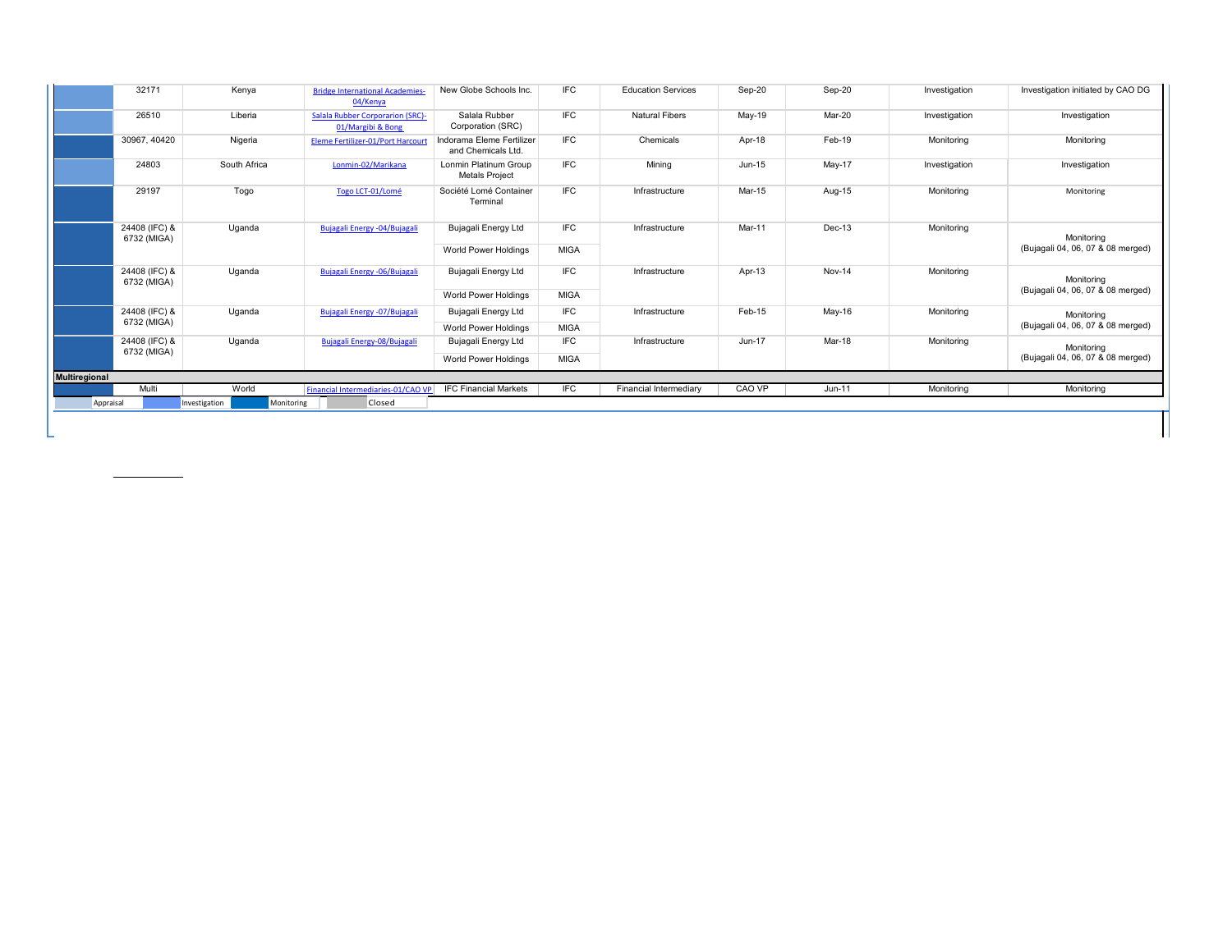|                      | 32171                        | Kenya         | <b>Bridge International Academies-</b><br>04/Kenya           | New Globe Schools Inc.                          | <b>IFC</b>  | <b>Education Services</b> | Sep-20 | Sep-20   | Investigation | Investigation initiated by CAO DG               |
|----------------------|------------------------------|---------------|--------------------------------------------------------------|-------------------------------------------------|-------------|---------------------------|--------|----------|---------------|-------------------------------------------------|
|                      | 26510                        | Liberia       | <b>Salala Rubber Corporarion (SRC)-</b><br>01/Margibi & Bong | Salala Rubber<br>Corporation (SRC)              | <b>IFC</b>  | <b>Natural Fibers</b>     | May-19 | Mar-20   | Investigation | Investigation                                   |
|                      | 30967, 40420                 | Nigeria       | Eleme Fertilizer-01/Port Harcourt                            | Indorama Eleme Fertilizer<br>and Chemicals Ltd. | <b>IFC</b>  | Chemicals                 | Apr-18 | Feb-19   | Monitoring    | Monitoring                                      |
|                      | 24803                        | South Africa  | Lonmin-02/Marikana                                           | Lonmin Platinum Group<br><b>Metals Project</b>  | <b>IFC</b>  | Mining                    | Jun-15 | $May-17$ | Investigation | Investigation                                   |
|                      | 29197                        | Togo          | Togo LCT-01/Lomé                                             | Société Lomé Container<br>Terminal              | <b>IFC</b>  | Infrastructure            | Mar-15 | Aug-15   | Monitoring    | Monitoring                                      |
|                      | 24408 (IFC) &<br>6732 (MIGA) | Uganda        | Bujagali Energy - 04/Bujagali                                | Bujagali Energy Ltd                             | <b>IFC</b>  | Infrastructure            | Mar-11 | Dec-13   | Monitoring    | Monitoring                                      |
|                      |                              |               |                                                              | World Power Holdings                            | <b>MIGA</b> |                           |        |          |               | (Bujagali 04, 06, 07 & 08 merged)               |
|                      | 24408 (IFC) &<br>6732 (MIGA) | Uganda        | Bujagali Energy - 06/Bujagali                                | Bujagali Energy Ltd                             | <b>IFC</b>  | Infrastructure            | Apr-13 | Nov-14   | Monitoring    | Monitoring                                      |
|                      |                              |               |                                                              | World Power Holdings                            | <b>MIGA</b> |                           |        |          |               | (Bujagali 04, 06, 07 & 08 merged)               |
|                      | 24408 (IFC) &                | Uganda        | Bujagali Energy -07/Bujagali                                 | Bujagali Energy Ltd                             | <b>IFC</b>  | Infrastructure            | Feb-15 | May-16   | Monitoring    | Monitoring                                      |
|                      | 6732 (MIGA)                  |               |                                                              | <b>World Power Holdings</b>                     | <b>MIGA</b> |                           |        |          |               | (Bujagali 04, 06, 07 & 08 merged)               |
|                      | 24408 (IFC) &                | Uganda        | Bujagali Energy-08/Bujagali                                  | Bujagali Energy Ltd                             | <b>IFC</b>  | Infrastructure            | Jun-17 | Mar-18   | Monitoring    | Monitoring<br>(Bujagali 04, 06, 07 & 08 merged) |
|                      | 6732 (MIGA)                  |               |                                                              | World Power Holdings                            | MIGA        |                           |        |          |               |                                                 |
| <b>Multiregional</b> |                              |               |                                                              |                                                 |             |                           |        |          |               |                                                 |
|                      | Multi                        | World         | Financial Intermediaries-01/CAO VP                           | <b>IFC Financial Markets</b>                    | <b>IFC</b>  | Financial Intermediary    | CAO VP | $Jun-11$ | Monitoring    | Monitoring                                      |
| Appraisal            |                              | Investigation | Closed<br>Monitoring                                         |                                                 |             |                           |        |          |               |                                                 |